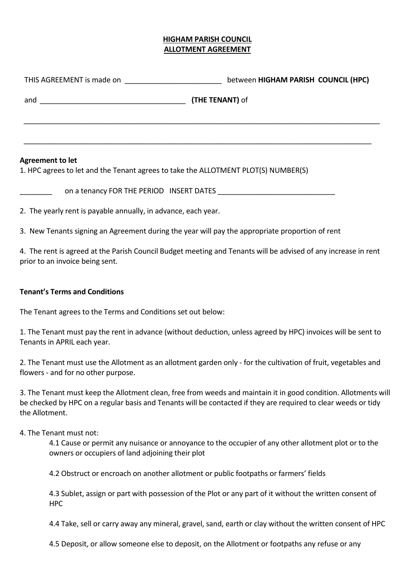## **HIGHAM PARISH COUNCIL ALLOTMENT AGREEMENT**

|                                                                                                               | between HIGHAM PARISH COUNCIL (HPC)      |
|---------------------------------------------------------------------------------------------------------------|------------------------------------------|
|                                                                                                               | (THE TENANT) of                          |
|                                                                                                               |                                          |
| <b>Agreement to let</b><br>1. HPC agrees to let and the Tenant agrees to take the ALLOTMENT PLOT(S) NUMBER(S) |                                          |
|                                                                                                               | on a tenancy FOR THE PERIOD INSERT DATES |
| 2. The yearly rent is payable annually, in advance, each year.                                                |                                          |

3. New Tenants signing an Agreement during the year will pay the appropriate proportion of rent

4. The rent is agreed at the Parish Council Budget meeting and Tenants will be advised of any increase in rent prior to an invoice being sent.

## **Tenant's Terms and Conditions**

The Tenant agrees to the Terms and Conditions set out below:

1. The Tenant must pay the rent in advance (without deduction, unless agreed by HPC) invoices will be sent to Tenants in APRIL each year.

2. The Tenant must use the Allotment as an allotment garden only - for the cultivation of fruit, vegetables and flowers - and for no other purpose.

3. The Tenant must keep the Allotment clean, free from weeds and maintain it in good condition. Allotments will be checked by HPC on a regular basis and Tenants will be contacted if they are required to clear weeds or tidy the Allotment.

## 4. The Tenant must not:

4.1 Cause or permit any nuisance or annoyance to the occupier of any other allotment plot or to the owners or occupiers of land adjoining their plot

4.2 Obstruct or encroach on another allotment or public footpaths or farmers' fields

4.3 Sublet, assign or part with possession of the Plot or any part of it without the written consent of HPC

4.4 Take, sell or carry away any mineral, gravel, sand, earth or clay without the written consent of HPC

4.5 Deposit, or allow someone else to deposit, on the Allotment or footpaths any refuse or any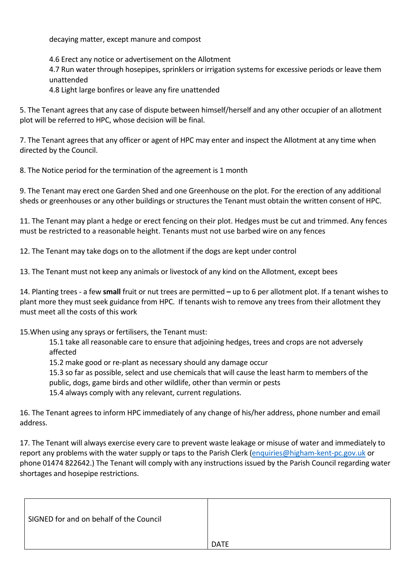decaying matter, except manure and compost

4.6 Erect any notice or advertisement on the Allotment

4.7 Run water through hosepipes, sprinklers or irrigation systems for excessive periods or leave them unattended

4.8 Light large bonfires or leave any fire unattended

5. The Tenant agrees that any case of dispute between himself/herself and any other occupier of an allotment plot will be referred to HPC, whose decision will be final.

7. The Tenant agrees that any officer or agent of HPC may enter and inspect the Allotment at any time when directed by the Council.

8. The Notice period for the termination of the agreement is 1 month

9. The Tenant may erect one Garden Shed and one Greenhouse on the plot. For the erection of any additional sheds or greenhouses or any other buildings or structures the Tenant must obtain the written consent of HPC.

11. The Tenant may plant a hedge or erect fencing on their plot. Hedges must be cut and trimmed. Any fences must be restricted to a reasonable height. Tenants must not use barbed wire on any fences

12. The Tenant may take dogs on to the allotment if the dogs are kept under control

13. The Tenant must not keep any animals or livestock of any kind on the Allotment, except bees

14. Planting trees - a few **small** fruit or nut trees are permitted **–** up to 6 per allotment plot. If a tenant wishes to plant more they must seek guidance from HPC. If tenants wish to remove any trees from their allotment they must meet all the costs of this work

15.When using any sprays or fertilisers, the Tenant must:

15.1 take all reasonable care to ensure that adjoining hedges, trees and crops are not adversely affected

15.2 make good or re-plant as necessary should any damage occur

15.3 so far as possible, select and use chemicals that will cause the least harm to members of the

public, dogs, game birds and other wildlife, other than vermin or pests

15.4 always comply with any relevant, current regulations.

16. The Tenant agrees to inform HPC immediately of any change of his/her address, phone number and email address.

17. The Tenant will always exercise every care to prevent waste leakage or misuse of water and immediately to report any problems with the water supply or taps to the Parish Clerk [\(enquiries@higham-kent-pc.gov.uk](mailto:enquiries@higham-kent-pc.gov.uk) or phone 01474 822642.) The Tenant will comply with any instructions issued by the Parish Council regarding water shortages and hosepipe restrictions.

| SIGNED for and on behalf of the Council |             |
|-----------------------------------------|-------------|
|                                         | <b>DATE</b> |